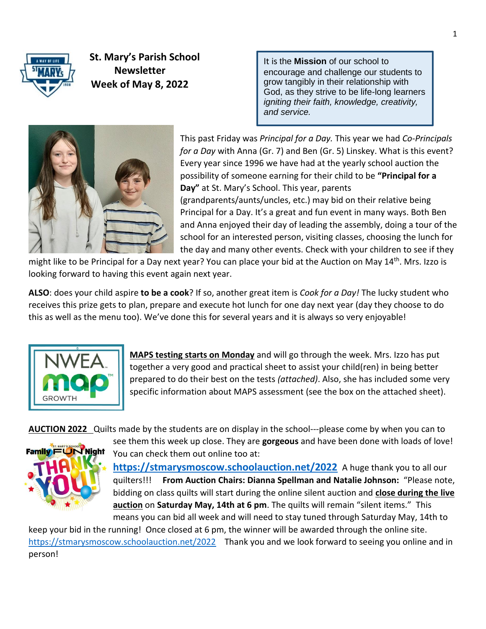

 **St. Mary's Parish School Newsletter Week of May 8, 2022** 

It is the **Mission** of our school to encourage and challenge our students to grow tangibly in their relationship with God, as they strive to be life-long learners *igniting their faith, knowledge, creativity, and service.*



This past Friday was *Principal for a Day.* This year we had *Co-Principals for a Day* with Anna (Gr. 7) and Ben (Gr. 5) Linskey. What is this event? Every year since 1996 we have had at the yearly school auction the possibility of someone earning for their child to be **"Principal for a Day"** at St. Mary's School. This year, parents (grandparents/aunts/uncles, etc.) may bid on their relative being Principal for a Day. It's a great and fun event in many ways. Both Ben and Anna enjoyed their day of leading the assembly, doing a tour of the school for an interested person, visiting classes, choosing the lunch for the day and many other events. Check with your children to see if they

might like to be Principal for a Day next year? You can place your bid at the Auction on May 14<sup>th</sup>. Mrs. Izzo is looking forward to having this event again next year.

**ALSO**: does your child aspire **to be a cook**? If so, another great item is *Cook for a Day!* The lucky student who receives this prize gets to plan, prepare and execute hot lunch for one day next year (day they choose to do this as well as the menu too). We've done this for several years and it is always so very enjoyable!



**MAPS testing starts on Monday** and will go through the week. Mrs. Izzo has put together a very good and practical sheet to assist your child(ren) in being better prepared to do their best on the tests *(attached)*. Also, she has included some very specific information about MAPS assessment (see the box on the attached sheet).

**AUCTION 2022** Quilts made by the students are on display in the school---please come by when you can to



see them this week up close. They are **gorgeous** and have been done with loads of love! You can check them out online too at:

**[https://stmarysmoscow.schoolauction.net/2022](https://stmarysmoscow.schoolauction.net/2022/signup)** A huge thank you to all our quilters!!! **From Auction Chairs: Dianna Spellman and Natalie Johnson:** "Please note, bidding on class quilts will start during the online silent auction and **close during the live auction** on **Saturday May, 14th at 6 pm**. The quilts will remain "silent items." This means you can bid all week and will need to stay tuned through Saturday May, 14th to

keep your bid in the running! Once closed at 6 pm, the winner will be awarded through the online site. [https://stmarysmoscow.schoolauction.net/2022](https://stmarysmoscow.schoolauction.net/2022/catalog?label=Live&per_page=10000&q%5Bbidding_group_name_eq%5D=&q%5Bcategory_name_eq%5D=&q%5Bin_venue%5D=all&q%5Bs%5D=&q%5Btype_name_eq%5D=Live) Thank you and we look forward to seeing you online and in person!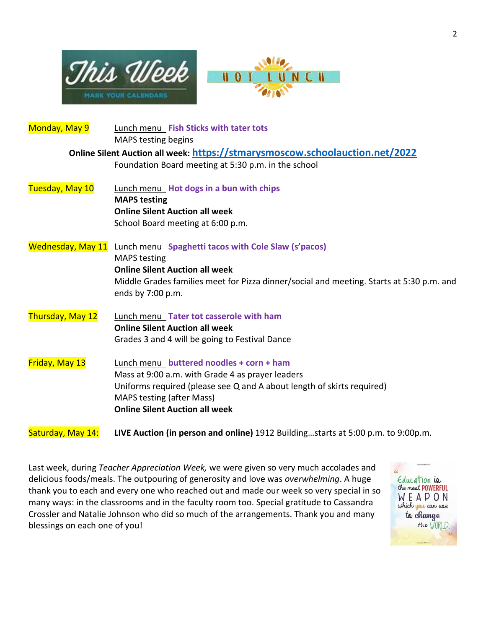



| Monday, May 9            | Lunch menu Fish Sticks with tater tots                                                   |
|--------------------------|------------------------------------------------------------------------------------------|
|                          | <b>MAPS testing begins</b>                                                               |
|                          | Online Silent Auction all week: https://stmarysmoscow.schoolauction.net/2022             |
|                          | Foundation Board meeting at 5:30 p.m. in the school                                      |
| Tuesday, May 10          | Lunch menu Hot dogs in a bun with chips                                                  |
|                          | <b>MAPS testing</b>                                                                      |
|                          | <b>Online Silent Auction all week</b>                                                    |
|                          | School Board meeting at 6:00 p.m.                                                        |
| <b>Wednesday, May 11</b> | <b>Lunch menu_Spaghetti tacos with Cole Slaw (s'pacos)</b>                               |
|                          | <b>MAPS</b> testing                                                                      |
|                          | <b>Online Silent Auction all week</b>                                                    |
|                          | Middle Grades families meet for Pizza dinner/social and meeting. Starts at 5:30 p.m. and |
|                          | ends by 7:00 p.m.                                                                        |
| Thursday, May 12         | Lunch menu Tater tot casserole with ham                                                  |
|                          | <b>Online Silent Auction all week</b>                                                    |
|                          | Grades 3 and 4 will be going to Festival Dance                                           |
| Friday, May 13           | Lunch menu buttered noodles + corn + ham                                                 |
|                          | Mass at 9:00 a.m. with Grade 4 as prayer leaders                                         |
|                          | Uniforms required (please see Q and A about length of skirts required)                   |
|                          | <b>MAPS testing (after Mass)</b>                                                         |
|                          | <b>Online Silent Auction all week</b>                                                    |
| Saturday, May 14:        | LIVE Auction (in person and online) 1912 Buildingstarts at 5:00 p.m. to 9:00p.m.         |

Last week, during *Teacher Appreciation Week,* we were given so very much accolades and delicious foods/meals. The outpouring of generosity and love was *overwhelming*. A huge thank you to each and every one who reached out and made our week so very special in so many ways: in the classrooms and in the faculty room too. Special gratitude to Cassandra Crossler and Natalie Johnson who did so much of the arrangements. Thank you and many blessings on each one of you!

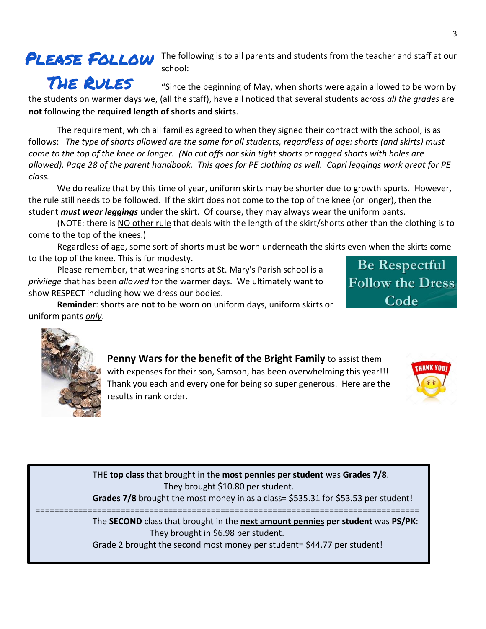## PLEASE FOLLOW

The following is to all parents and students from the teacher and staff at our school:

THE RULES "Since the beginning of May, when shorts were again allowed to be worn by the students on warmer days we, (all the staff), have all noticed that several students across *all the grades* are **not** following the **required length of shorts and skirts**.

The requirement, which all families agreed to when they signed their contract with the school, is as follows: *The type of shorts allowed are the same for all students, regardless of age: shorts (and skirts) must come to the top of the knee or longer. (No cut offs nor skin tight shorts or ragged shorts with holes are allowed). Page 28 of the parent handbook. This goes for PE clothing as well. Capri leggings work great for PE class.*

We do realize that by this time of year, uniform skirts may be shorter due to growth spurts. However, the rule still needs to be followed. If the skirt does not come to the top of the knee (or longer), then the student *must wear leggings* under the skirt. Of course, they may always wear the uniform pants.

(NOTE: there is NO other rule that deals with the length of the skirt/shorts other than the clothing is to come to the top of the knees.)

Regardless of age, some sort of shorts must be worn underneath the skirts even when the skirts come to the top of the knee. This is for modesty.

Please remember, that wearing shorts at St. Mary's Parish school is a *privilege* that has been *allowed* for the warmer days. We ultimately want to show RESPECT including how we dress our bodies.

**Reminder**: shorts are **not** to be worn on uniform days, uniform skirts or uniform pants *only*.

**Be Respectful Follow the Dress** Code



**Penny Wars for the benefit of the Bright Family** to assist them with expenses for their son, Samson, has been overwhelming this year!!! Thank you each and every one for being so super generous. Here are the results in rank order.



THE **top class** that brought in the **most pennies per student** was **Grades 7/8**. They brought \$10.80 per student.

**Grades 7/8** brought the most money in as a class= \$535.31 for \$53.53 per student! =================================================================================

The **SECOND** class that brought in the **next amount pennies per student** was **PS/PK**: They brought in \$6.98 per student.

Grade 2 brought the second most money per student= \$44.77 per student!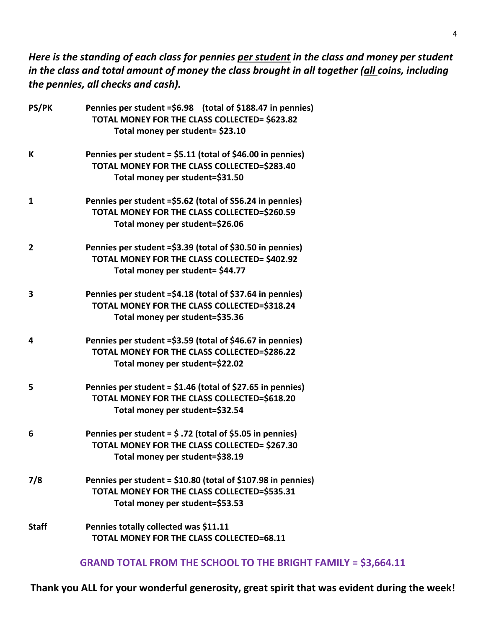*Here is the standing of each class for pennies per student in the class and money per student in the class and total amount of money the class brought in all together (all coins, including the pennies, all checks and cash).*

| <b>PS/PK</b>   | Pennies per student = \$6.98 (total of \$188.47 in pennies)<br>TOTAL MONEY FOR THE CLASS COLLECTED= \$623.82 |
|----------------|--------------------------------------------------------------------------------------------------------------|
|                | Total money per student= \$23.10                                                                             |
| K              | Pennies per student = \$5.11 (total of \$46.00 in pennies)                                                   |
|                | TOTAL MONEY FOR THE CLASS COLLECTED=\$283.40                                                                 |
|                | Total money per student=\$31.50                                                                              |
| $\mathbf{1}$   | Pennies per student = \$5.62 (total of \$56.24 in pennies)                                                   |
|                | TOTAL MONEY FOR THE CLASS COLLECTED=\$260.59                                                                 |
|                | Total money per student=\$26.06                                                                              |
| $\overline{2}$ | Pennies per student = \$3.39 (total of \$30.50 in pennies)                                                   |
|                | TOTAL MONEY FOR THE CLASS COLLECTED= \$402.92                                                                |
|                | Total money per student= \$44.77                                                                             |
| 3              | Pennies per student = \$4.18 (total of \$37.64 in pennies)                                                   |
|                | TOTAL MONEY FOR THE CLASS COLLECTED=\$318.24                                                                 |
|                | Total money per student=\$35.36                                                                              |
| 4              | Pennies per student = \$3.59 (total of \$46.67 in pennies)                                                   |
|                | TOTAL MONEY FOR THE CLASS COLLECTED=\$286.22                                                                 |
|                | Total money per student=\$22.02                                                                              |
| 5              | Pennies per student = \$1.46 (total of \$27.65 in pennies)                                                   |
|                | TOTAL MONEY FOR THE CLASS COLLECTED=\$618.20                                                                 |
|                | Total money per student=\$32.54                                                                              |
| 6              | Pennies per student = $\frac{2}{7}$ .72 (total of \$5.05 in pennies)                                         |
|                | TOTAL MONEY FOR THE CLASS COLLECTED= \$267.30                                                                |
|                | Total money per student=\$38.19                                                                              |
| 7/8            | Pennies per student = \$10.80 (total of \$107.98 in pennies)                                                 |
|                | TOTAL MONEY FOR THE CLASS COLLECTED=\$535.31                                                                 |
|                | Total money per student=\$53.53                                                                              |
| <b>Staff</b>   | Pennies totally collected was \$11.11                                                                        |
|                | TOTAL MONEY FOR THE CLASS COLLECTED=68.11                                                                    |
|                |                                                                                                              |

**GRAND TOTAL FROM THE SCHOOL TO THE BRIGHT FAMILY = \$3,664.11**

**Thank you ALL for your wonderful generosity, great spirit that was evident during the week!**